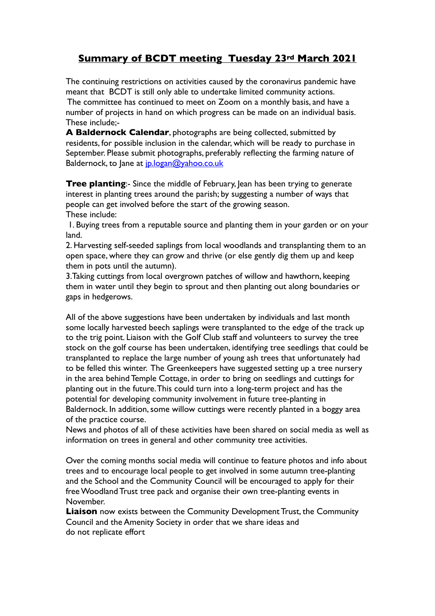## **Summary of BCDT meeting Tuesday 23rd March 2021**

The continuing restrictions on activities caused by the coronavirus pandemic have meant that BCDT is still only able to undertake limited community actions. The committee has continued to meet on Zoom on a monthly basis, and have a number of projects in hand on which progress can be made on an individual basis. These include;-

**A Baldernock Calendar**, photographs are being collected, submitted by residents, for possible inclusion in the calendar, which will be ready to purchase in September. Please submit photographs, preferably reflecting the farming nature of Baldernock, to Jane at [jp.logan@yahoo.co.uk](mailto:jp.logan@yahoo.co.uk)

**Tree planting:-** Since the middle of February, Jean has been trying to generate interest in planting trees around the parish; by suggesting a number of ways that people can get involved before the start of the growing season. These include:

 1. Buying trees from a reputable source and planting them in your garden or on your land.

2. Harvesting self-seeded saplings from local woodlands and transplanting them to an open space, where they can grow and thrive (or else gently dig them up and keep them in pots until the autumn).

3.Taking cuttings from local overgrown patches of willow and hawthorn, keeping them in water until they begin to sprout and then planting out along boundaries or gaps in hedgerows.

All of the above suggestions have been undertaken by individuals and last month some locally harvested beech saplings were transplanted to the edge of the track up to the trig point. Liaison with the Golf Club staff and volunteers to survey the tree stock on the golf course has been undertaken, identifying tree seedlings that could be transplanted to replace the large number of young ash trees that unfortunately had to be felled this winter. The Greenkeepers have suggested setting up a tree nursery in the area behind Temple Cottage, in order to bring on seedlings and cuttings for planting out in the future. This could turn into a long-term project and has the potential for developing community involvement in future tree-planting in Baldernock. In addition, some willow cuttings were recently planted in a boggy area of the practice course.

News and photos of all of these activities have been shared on social media as well as information on trees in general and other community tree activities.

Over the coming months social media will continue to feature photos and info about trees and to encourage local people to get involved in some autumn tree-planting and the School and the Community Council will be encouraged to apply for their free Woodland Trust tree pack and organise their own tree-planting events in November.

**Liaison** now exists between the Community Development Trust, the Community Council and the Amenity Society in order that we share ideas and do not replicate effort